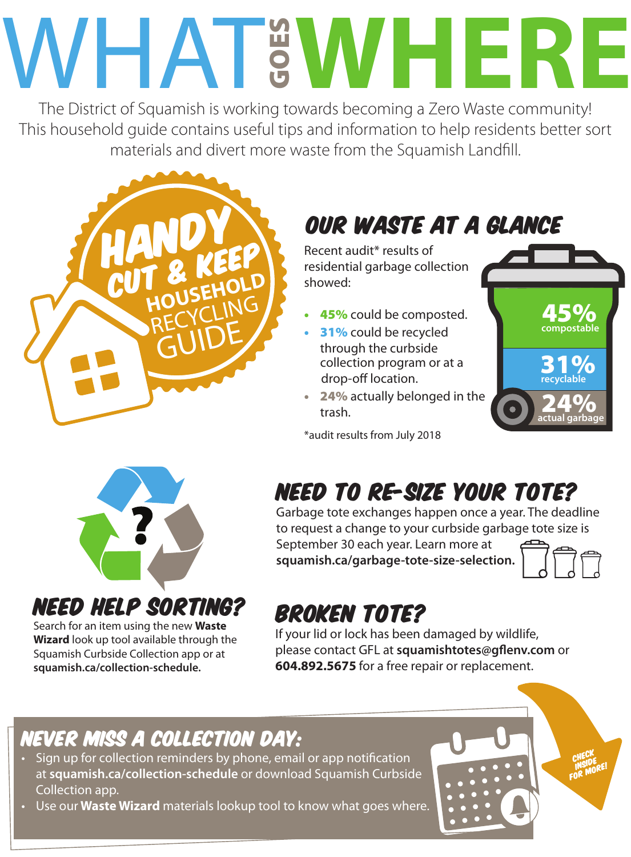# WHAT GOES WHERE

The District of Squamish is working towards becoming a Zero Waste community! This household guide contains useful tips and information to help residents better sort materials and divert more waste from the Squamish Landfill.



# OUR WASTE at a glance

Recent audit\* results of residential garbage collection showed:

- 45% could be composted.
- 31% could be recycled through the curbside collection program or at a drop-off location.
- 24% actually belonged in the trash.

\*audit results from July 2018





need help sorting?

Search for an item using the new **Waste Wizard** look up tool available through the Squamish Curbside Collection app or at

**squamish.ca/collection-schedule.**

# Need to rE-size your tote?

Garbage tote exchanges happen once a year. The deadline to request a change to your curbside garbage tote size is

September 30 each year. Learn more at **squamish.ca/garbage-tote-size-selection.**



# Broken Tote?

If your lid or lock has been damaged by wildlife, please contact GFL at **squamishtotes@gflenv.com** or **604.892.5675** for a free repair or replacement.

## Never miss a collection day:

- Sign up for collection reminders by phone, email or app notification at **squamish.ca/collection-schedule** or download Squamish Curbside Collection app.
- Use our **Waste Wizard** materials lookup tool to know what goes where.

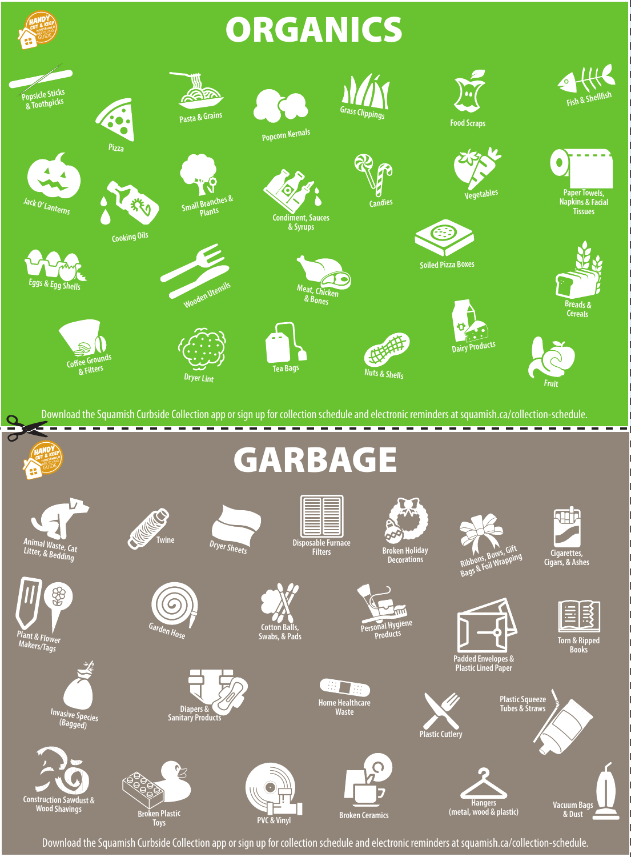# **ORGANICS**

**HANDY** CUT & KEEP RECYCLING GUIDE



Download the Squamish Curbside Collection app or sign up for collection schedule and electronic reminders at squamish.ca/collection-schedule.



Download the Squamish Curbside Collection app or sign up for collection schedule and electronic reminders at squamish.ca/collection-schedule.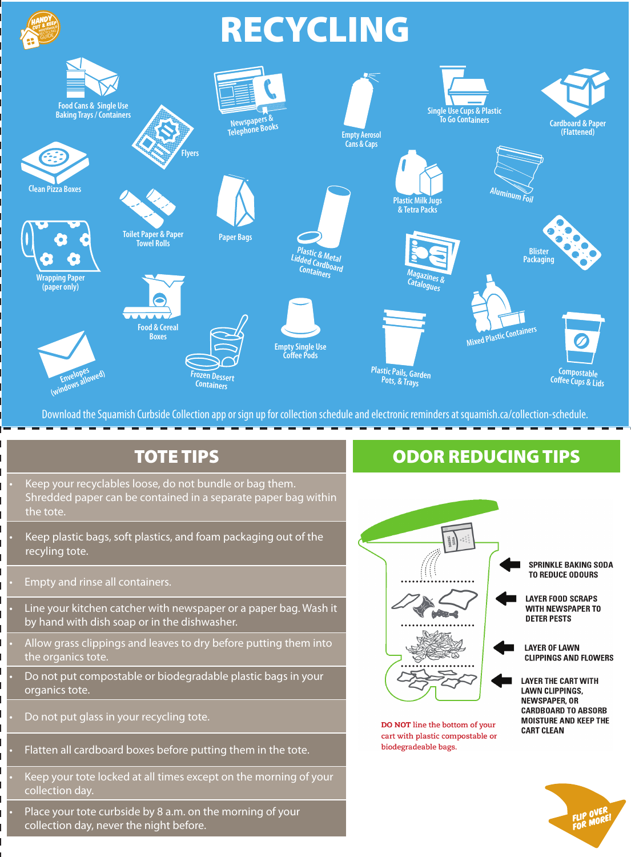

Download the Squamish Curbside Collection app or sign up for collection schedule and electronic reminders at squamish.ca/collection-schedule.

#### TOTE TIPS

Keep your recyclables loose, do not bundle or bag them. Shredded paper can be contained in a separate paper bag within the tote.

• Keep plastic bags, soft plastics, and foam packaging out of the recyling tote.

• Empty and rinse all containers.

• Line your kitchen catcher with newspaper or a paper bag. Wash it by hand with dish soap or in the dishwasher.

• Allow grass clippings and leaves to dry before putting them into the organics tote.

• Do not put compostable or biodegradable plastic bags in your organics tote.

• Do not put glass in your recycling tote.

• Flatten all cardboard boxes before putting them in the tote.

Keep your tote locked at all times except on the morning of your collection day.

• Place your tote curbside by 8 a.m. on the morning of your collection day, never the night before.

#### ODOR REDUCING TIPS

![](_page_2_Figure_14.jpeg)

DO NOT line the bottom of your cart with plastic compostable or biodegradeable bags.

**MOISTURE AND KEEP THE** 

**CART CLEAN** 

![](_page_2_Picture_17.jpeg)